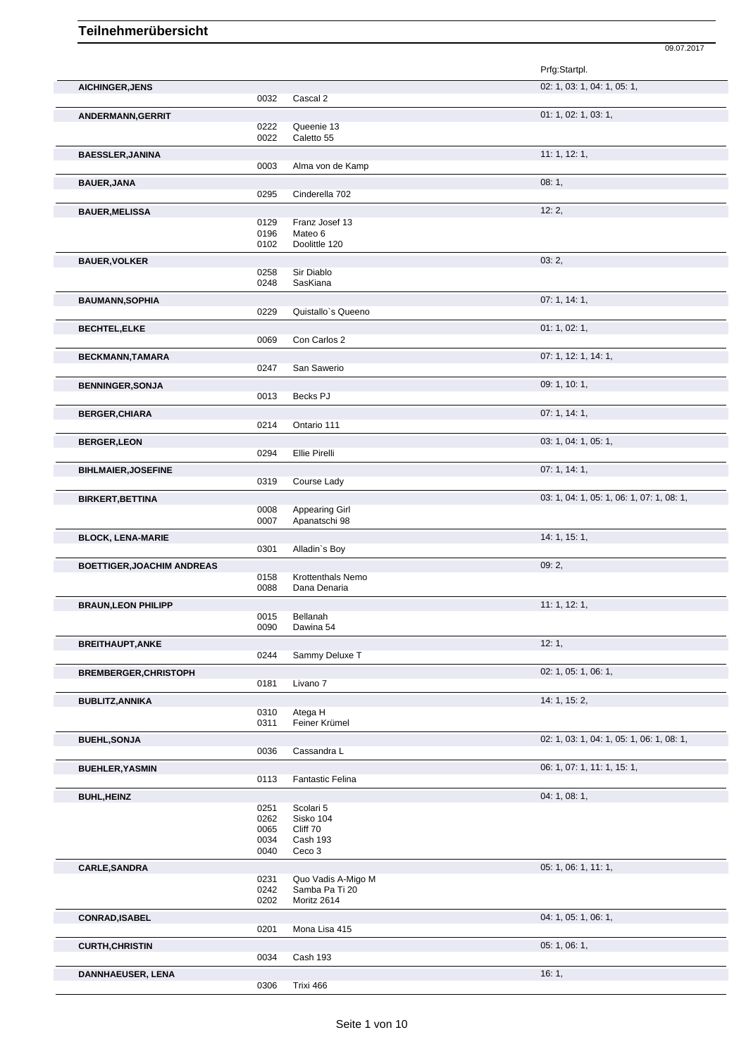|                                   |              |                                   | Prfg:Startpl.                             |
|-----------------------------------|--------------|-----------------------------------|-------------------------------------------|
| <b>AICHINGER, JENS</b>            |              |                                   | 02: 1, 03: 1, 04: 1, 05: 1,               |
|                                   | 0032         | Cascal 2                          |                                           |
| ANDERMANN, GERRIT                 |              |                                   | 01: 1, 02: 1, 03: 1,                      |
|                                   | 0222         | Queenie 13                        |                                           |
|                                   | 0022         | Caletto 55                        |                                           |
| <b>BAESSLER, JANINA</b>           |              |                                   | 11:1, 12:1,                               |
|                                   | 0003         | Alma von de Kamp                  |                                           |
| <b>BAUER, JANA</b>                |              |                                   | 08:1,                                     |
|                                   | 0295         | Cinderella 702                    |                                           |
| <b>BAUER, MELISSA</b>             |              |                                   | 12:2,                                     |
|                                   | 0129<br>0196 | Franz Josef 13<br>Mateo 6         |                                           |
|                                   | 0102         | Doolittle 120                     |                                           |
| <b>BAUER, VOLKER</b>              |              |                                   | 03:2,                                     |
|                                   | 0258         | Sir Diablo                        |                                           |
|                                   | 0248         | SasKiana                          |                                           |
| <b>BAUMANN, SOPHIA</b>            |              |                                   | 07: 1, 14: 1,                             |
|                                   | 0229         | Quistallo's Queeno                |                                           |
| <b>BECHTEL,ELKE</b>               |              |                                   | 01: 1, 02: 1,                             |
|                                   | 0069         | Con Carlos 2                      |                                           |
| BECKMANN, TAMARA                  |              |                                   | 07: 1, 12: 1, 14: 1,                      |
|                                   | 0247         | San Sawerio                       |                                           |
| <b>BENNINGER, SONJA</b>           |              |                                   | 09: 1, 10: 1,                             |
|                                   | 0013         | Becks PJ                          |                                           |
| <b>BERGER, CHIARA</b>             |              |                                   | 07:1, 14:1,                               |
|                                   | 0214         | Ontario 111                       |                                           |
| <b>BERGER, LEON</b>               |              |                                   | 03: 1, 04: 1, 05: 1,                      |
|                                   | 0294         | Ellie Pirelli                     |                                           |
| <b>BIHLMAIER, JOSEFINE</b>        |              |                                   | 07:1, 14:1,                               |
|                                   | 0319         | Course Lady                       |                                           |
| <b>BIRKERT, BETTINA</b>           |              |                                   | 03: 1, 04: 1, 05: 1, 06: 1, 07: 1, 08: 1, |
|                                   | 0008         | <b>Appearing Girl</b>             |                                           |
|                                   | 0007         | Apanatschi 98                     |                                           |
| <b>BLOCK, LENA-MARIE</b>          |              |                                   | 14: 1, 15: 1,                             |
|                                   | 0301         | Alladin's Boy                     |                                           |
| <b>BOETTIGER, JOACHIM ANDREAS</b> |              |                                   | 09:2,                                     |
|                                   | 0158<br>0088 | Krottenthals Nemo<br>Dana Denaria |                                           |
|                                   |              |                                   | 11: 1, 12: 1,                             |
| <b>BRAUN, LEON PHILIPP</b>        | 0015         | Bellanah                          |                                           |
|                                   | 0090         | Dawina 54                         |                                           |
| <b>BREITHAUPT, ANKE</b>           |              |                                   | 12:1,                                     |
|                                   | 0244         | Sammy Deluxe T                    |                                           |
| <b>BREMBERGER, CHRISTOPH</b>      |              |                                   | 02: 1, 05: 1, 06: 1,                      |
|                                   | 0181         | Livano 7                          |                                           |
| <b>BUBLITZ, ANNIKA</b>            |              |                                   | 14: 1, 15: 2,                             |
|                                   | 0310         | Atega H                           |                                           |
|                                   | 0311         | Feiner Krümel                     |                                           |
| <b>BUEHL, SONJA</b>               |              |                                   | 02: 1, 03: 1, 04: 1, 05: 1, 06: 1, 08: 1, |
|                                   | 0036         | Cassandra L                       |                                           |
| <b>BUEHLER, YASMIN</b>            |              |                                   | 06: 1, 07: 1, 11: 1, 15: 1,               |
|                                   | 0113         | <b>Fantastic Felina</b>           |                                           |
| <b>BUHL, HEINZ</b>                |              |                                   | 04:1,08:1,                                |
|                                   | 0251         | Scolari 5                         |                                           |
|                                   | 0262<br>0065 | Sisko 104<br>Cliff 70             |                                           |
|                                   | 0034         | Cash 193                          |                                           |
|                                   | 0040         | Ceco <sub>3</sub>                 |                                           |
| <b>CARLE, SANDRA</b>              |              |                                   | 05: 1, 06: 1, 11: 1,                      |
|                                   | 0231         | Quo Vadis A-Migo M                |                                           |
|                                   | 0242<br>0202 | Samba Pa Ti 20<br>Moritz 2614     |                                           |
|                                   |              |                                   |                                           |
| <b>CONRAD, ISABEL</b>             | 0201         | Mona Lisa 415                     | 04: 1, 05: 1, 06: 1,                      |
|                                   |              |                                   |                                           |
| <b>CURTH, CHRISTIN</b>            | 0034         | Cash 193                          | 05:1,06:1,                                |
|                                   |              |                                   |                                           |
| <b>DANNHAEUSER, LENA</b>          | 0306         | Trixi 466                         | 16:1,                                     |
|                                   |              |                                   |                                           |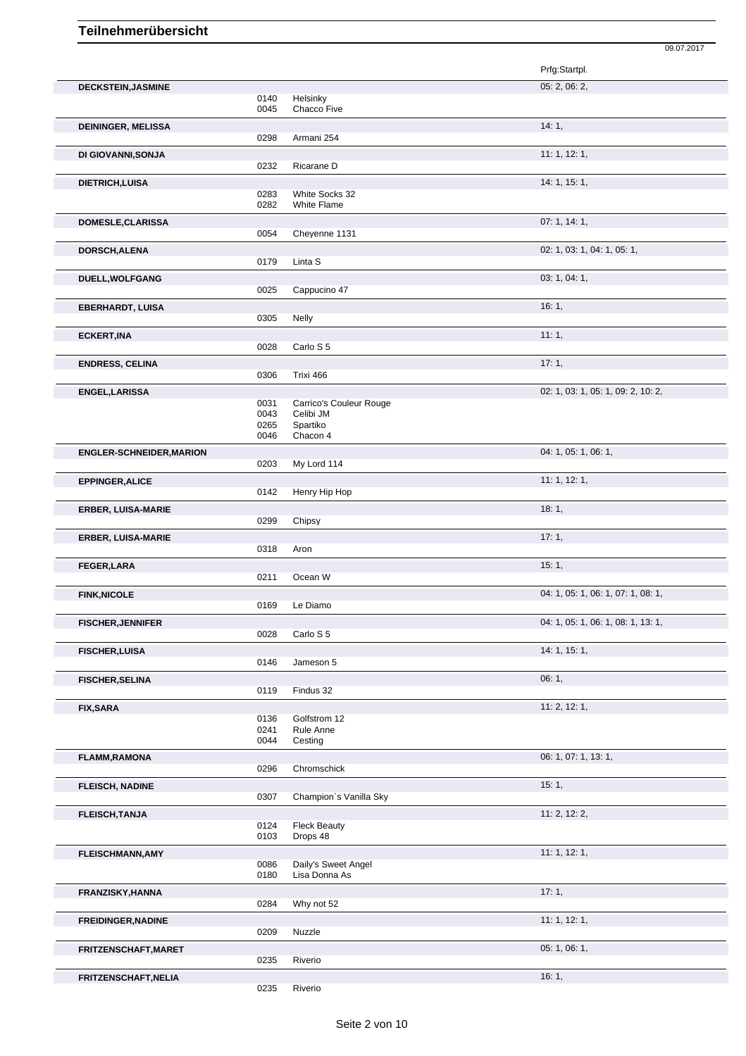|                                 |                              |                                                              | Prfg:Startpl.                      |
|---------------------------------|------------------------------|--------------------------------------------------------------|------------------------------------|
| <b>DECKSTEIN, JASMINE</b>       | 0140<br>0045                 | Helsinky<br>Chacco Five                                      | 05: 2, 06: 2,                      |
| <b>DEININGER, MELISSA</b>       | 0298                         | Armani 254                                                   | 14:1,                              |
| DI GIOVANNI, SONJA              | 0232                         | Ricarane D                                                   | 11:1, 12:1,                        |
| DIETRICH, LUISA                 | 0283<br>0282                 | White Socks 32<br><b>White Flame</b>                         | 14: 1, 15: 1,                      |
| DOMESLE, CLARISSA               | 0054                         | Cheyenne 1131                                                | 07:1, 14:1,                        |
| DORSCH, ALENA                   | 0179                         | Linta S                                                      | 02: 1, 03: 1, 04: 1, 05: 1,        |
| DUELL, WOLFGANG                 | 0025                         | Cappucino 47                                                 | 03: 1, 04: 1,                      |
| <b>EBERHARDT, LUISA</b>         | 0305                         | Nelly                                                        | 16:1,                              |
| <b>ECKERT, INA</b>              | 0028                         | Carlo S 5                                                    | 11:1,                              |
| <b>ENDRESS, CELINA</b>          | 0306                         | Trixi 466                                                    | 17:1,                              |
| ENGEL, LARISSA                  | 0031<br>0043<br>0265<br>0046 | Carrico's Couleur Rouge<br>Celibi JM<br>Spartiko<br>Chacon 4 | 02: 1, 03: 1, 05: 1, 09: 2, 10: 2, |
| <b>ENGLER-SCHNEIDER, MARION</b> | 0203                         | My Lord 114                                                  | 04: 1, 05: 1, 06: 1,               |
| <b>EPPINGER, ALICE</b>          | 0142                         | Henry Hip Hop                                                | 11: 1, 12: 1,                      |
| <b>ERBER, LUISA-MARIE</b>       | 0299                         | Chipsy                                                       | 18:1,                              |
| <b>ERBER, LUISA-MARIE</b>       | 0318                         | Aron                                                         | 17:1,                              |
| <b>FEGER,LARA</b>               | 0211                         | Ocean W                                                      | 15:1,                              |
| <b>FINK, NICOLE</b>             | 0169                         | Le Diamo                                                     | 04: 1, 05: 1, 06: 1, 07: 1, 08: 1, |
| <b>FISCHER, JENNIFER</b>        | 0028                         | Carlo S 5                                                    | 04: 1, 05: 1, 06: 1, 08: 1, 13: 1, |
| <b>FISCHER, LUISA</b>           | 0146                         | Jameson 5                                                    | 14: 1, 15: 1,                      |
| <b>FISCHER, SELINA</b>          | 0119                         | Findus 32                                                    | 06:1,                              |
| <b>FIX, SARA</b>                | 0136<br>0241<br>0044         | Golfstrom 12<br>Rule Anne<br>Cesting                         | 11: 2, 12: 1,                      |
| <b>FLAMM,RAMONA</b>             | 0296                         | Chromschick                                                  | 06: 1, 07: 1, 13: 1,               |
| <b>FLEISCH, NADINE</b>          | 0307                         | Champion's Vanilla Sky                                       | 15:1,                              |
| <b>FLEISCH, TANJA</b>           | 0124<br>0103                 | <b>Fleck Beauty</b><br>Drops 48                              | 11: 2, 12: 2,                      |
| <b>FLEISCHMANN, AMY</b>         | 0086<br>0180                 | Daily's Sweet Angel<br>Lisa Donna As                         | 11: 1, 12: 1,                      |
| FRANZISKY, HANNA                | 0284                         | Why not 52                                                   | 17:1,                              |
| FREIDINGER, NADINE              | 0209                         | Nuzzle                                                       | 11: 1, 12: 1,                      |
| FRITZENSCHAFT, MARET            | 0235                         | Riverio                                                      | 05: 1, 06: 1,                      |
| FRITZENSCHAFT, NELIA            |                              |                                                              | 16:1,                              |

09.07.2017

0235 Riverio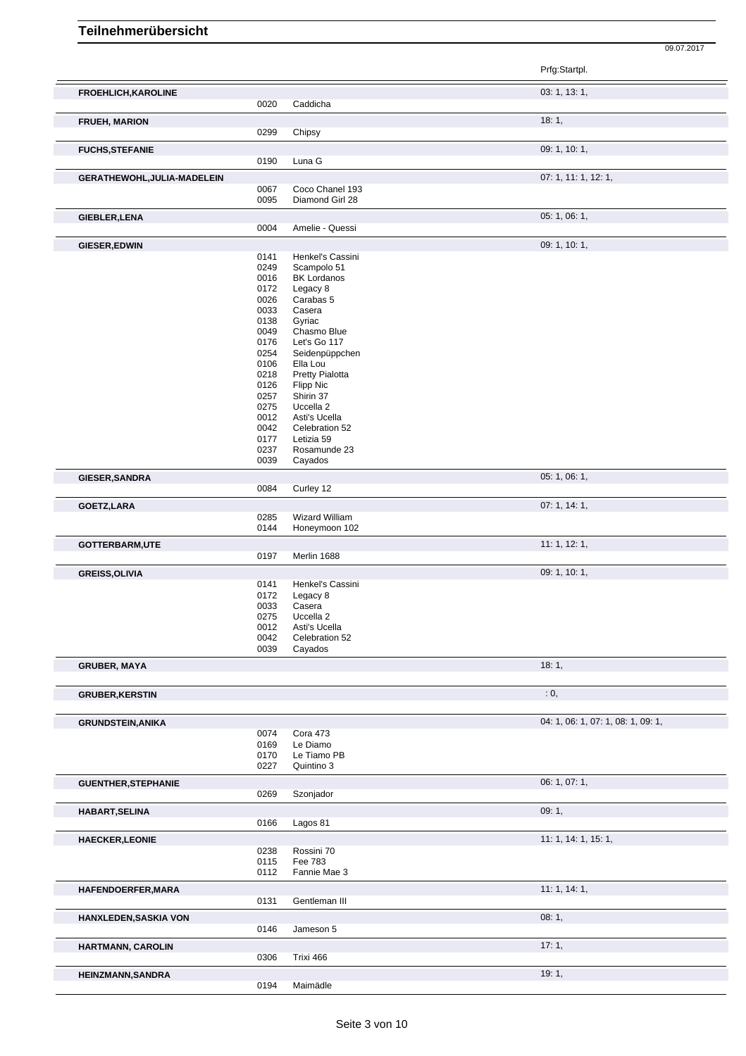|                             |              |                                    | Prfg:Startpl.                      |
|-----------------------------|--------------|------------------------------------|------------------------------------|
| FROEHLICH, KAROLINE         | 0020         | Caddicha                           | 03: 1, 13: 1,                      |
| <b>FRUEH, MARION</b>        | 0299         | Chipsy                             | 18:1,                              |
| <b>FUCHS, STEFANIE</b>      | 0190         | Luna G                             | 09: 1, 10: 1,                      |
| GERATHEWOHL, JULIA-MADELEIN |              |                                    | 07: 1, 11: 1, 12: 1,               |
|                             | 0067<br>0095 | Coco Chanel 193<br>Diamond Girl 28 |                                    |
| GIEBLER, LENA               |              |                                    | 05: 1, 06: 1,                      |
|                             | 0004         | Amelie - Quessi                    |                                    |
| GIESER, EDWIN               |              |                                    | 09: 1, 10: 1,                      |
|                             | 0141<br>0249 | Henkel's Cassini<br>Scampolo 51    |                                    |
|                             | 0016         | <b>BK Lordanos</b>                 |                                    |
|                             | 0172         | Legacy 8                           |                                    |
|                             | 0026<br>0033 | Carabas 5<br>Casera                |                                    |
|                             | 0138         | Gyriac                             |                                    |
|                             | 0049         | Chasmo Blue                        |                                    |
|                             | 0176         | Let's Go 117                       |                                    |
|                             | 0254<br>0106 | Seidenpüppchen<br>Ella Lou         |                                    |
|                             | 0218         | Pretty Pialotta                    |                                    |
|                             | 0126         | <b>Flipp Nic</b>                   |                                    |
|                             | 0257<br>0275 | Shirin 37<br>Uccella 2             |                                    |
|                             | 0012         | Asti's Ucella                      |                                    |
|                             | 0042         | Celebration 52                     |                                    |
|                             | 0177         | Letizia 59                         |                                    |
|                             | 0237<br>0039 | Rosamunde 23<br>Cayados            |                                    |
|                             |              |                                    | 05: 1, 06: 1,                      |
| GIESER, SANDRA              | 0084         | Curley 12                          |                                    |
|                             |              |                                    | 07:1, 14:1,                        |
| GOETZ, LARA                 | 0285         | Wizard William                     |                                    |
|                             | 0144         | Honeymoon 102                      |                                    |
| GOTTERBARM,UTE              |              |                                    | 11:1, 12:1,                        |
|                             | 0197         | Merlin 1688                        |                                    |
| <b>GREISS, OLIVIA</b>       |              |                                    | 09: 1, 10: 1,                      |
|                             | 0141         | Henkel's Cassini                   |                                    |
|                             | 0172<br>0033 | Legacy 8<br>Casera                 |                                    |
|                             | 0275         | Uccella 2                          |                                    |
|                             | 0012         | Asti's Ucella                      |                                    |
|                             | 0042<br>0039 | Celebration 52<br>Cayados          |                                    |
| <b>GRUBER, MAYA</b>         |              |                                    | 18:1,                              |
|                             |              |                                    |                                    |
| <b>GRUBER, KERSTIN</b>      |              |                                    | : 0,                               |
| <b>GRUNDSTEIN, ANIKA</b>    |              |                                    | 04: 1, 06: 1, 07: 1, 08: 1, 09: 1, |
|                             | 0074         | Cora 473                           |                                    |
|                             | 0169         | Le Diamo<br>Le Tiamo PB            |                                    |
|                             | 0170<br>0227 | Quintino 3                         |                                    |
| <b>GUENTHER, STEPHANIE</b>  |              |                                    | 06: 1, 07: 1,                      |
|                             | 0269         | Szonjador                          |                                    |
| HABART, SELINA              |              |                                    | 09:1,                              |
|                             | 0166         | Lagos 81                           |                                    |
| <b>HAECKER, LEONIE</b>      |              |                                    | 11: 1, 14: 1, 15: 1,               |
|                             | 0238         | Rossini 70                         |                                    |
|                             | 0115         | Fee 783                            |                                    |
|                             | 0112         | Fannie Mae 3                       |                                    |
| HAFENDOERFER, MARA          |              |                                    | 11:1, 14:1,                        |
|                             | 0131         | Gentleman III                      |                                    |
| HANXLEDEN, SASKIA VON       |              |                                    | 08:1,                              |
|                             | 0146         | Jameson 5                          |                                    |
| HARTMANN, CAROLIN           |              |                                    | 17:1,                              |
|                             | 0306         | Trixi 466                          |                                    |
| <b>HEINZMANN, SANDRA</b>    |              |                                    | 19:1,                              |
|                             | 0194         | Maimädle                           |                                    |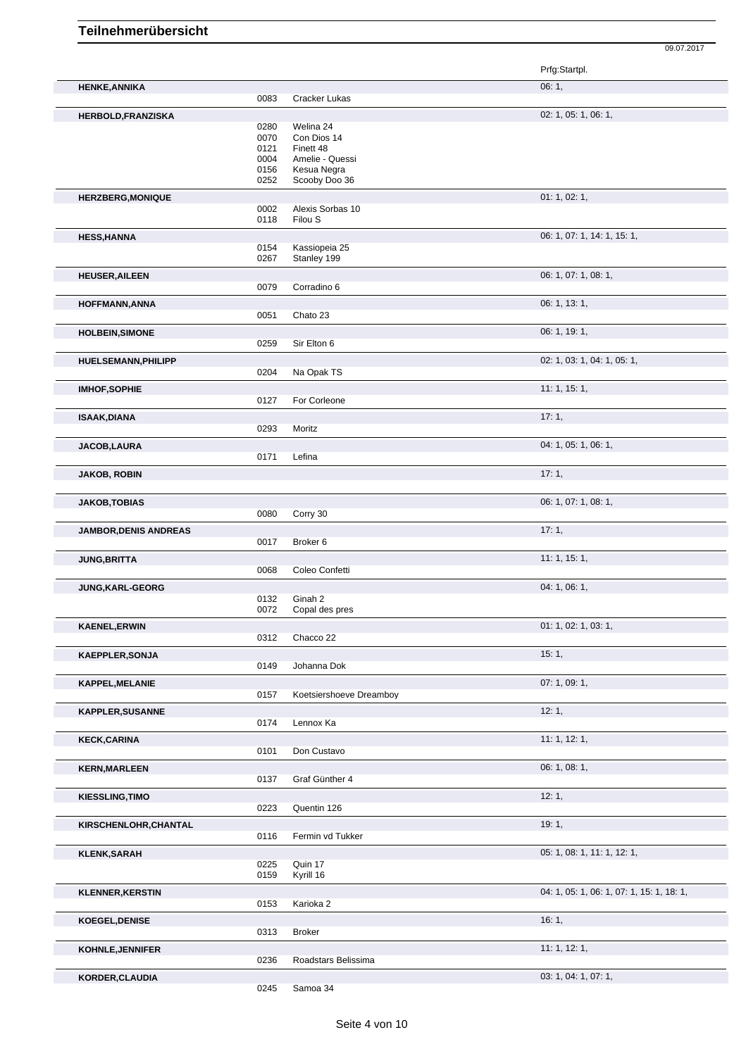|                              |              |                             | Prfg:Startpl.                             |
|------------------------------|--------------|-----------------------------|-------------------------------------------|
| <b>HENKE, ANNIKA</b>         | 0083         | Cracker Lukas               | 06:1,                                     |
|                              |              |                             |                                           |
| <b>HERBOLD, FRANZISKA</b>    |              |                             | 02: 1, 05: 1, 06: 1,                      |
|                              | 0280<br>0070 | Welina 24<br>Con Dios 14    |                                           |
|                              |              | Finett 48                   |                                           |
|                              | 0121<br>0004 | Amelie - Quessi             |                                           |
|                              | 0156         | Kesua Negra                 |                                           |
|                              | 0252         | Scooby Doo 36               |                                           |
|                              |              |                             |                                           |
| <b>HERZBERG, MONIQUE</b>     |              |                             | 01: 1, 02: 1,                             |
|                              | 0002<br>0118 | Alexis Sorbas 10<br>Filou S |                                           |
|                              |              |                             |                                           |
| <b>HESS, HANNA</b>           |              |                             | 06: 1, 07: 1, 14: 1, 15: 1,               |
|                              | 0154         | Kassiopeia 25               |                                           |
|                              | 0267         | Stanley 199                 |                                           |
| <b>HEUSER, AILEEN</b>        |              |                             | 06: 1, 07: 1, 08: 1,                      |
|                              | 0079         | Corradino 6                 |                                           |
|                              |              |                             | 06: 1, 13: 1,                             |
| <b>HOFFMANN, ANNA</b>        | 0051         | Chato 23                    |                                           |
|                              |              |                             |                                           |
| <b>HOLBEIN, SIMONE</b>       |              |                             | 06: 1, 19: 1,                             |
|                              | 0259         | Sir Elton 6                 |                                           |
| <b>HUELSEMANN, PHILIPP</b>   |              |                             | 02: 1, 03: 1, 04: 1, 05: 1,               |
|                              | 0204         | Na Opak TS                  |                                           |
|                              |              |                             |                                           |
| <b>IMHOF, SOPHIE</b>         |              |                             | 11:1, 15:1,                               |
|                              | 0127         | For Corleone                |                                           |
| <b>ISAAK, DIANA</b>          |              |                             | 17:1,                                     |
|                              | 0293         | Moritz                      |                                           |
| <b>JACOB,LAURA</b>           |              |                             | 04: 1, 05: 1, 06: 1,                      |
|                              | 0171         | Lefina                      |                                           |
|                              |              |                             |                                           |
| <b>JAKOB, ROBIN</b>          |              |                             | 17:1,                                     |
|                              |              |                             |                                           |
| <b>JAKOB, TOBIAS</b>         |              |                             | 06: 1, 07: 1, 08: 1,                      |
|                              | 0080         | Corry 30                    |                                           |
|                              |              |                             | 17:1,                                     |
| <b>JAMBOR, DENIS ANDREAS</b> | 0017         | Broker 6                    |                                           |
|                              |              |                             |                                           |
| <b>JUNG, BRITTA</b>          |              |                             | 11:1, 15:1,                               |
|                              | 0068         | Coleo Confetti              |                                           |
| <b>JUNG,KARL-GEORG</b>       |              |                             | 04: 1, 06: 1,                             |
|                              | 0132         | Ginah 2                     |                                           |
|                              | 0072         | Copal des pres              |                                           |
| <b>KAENEL, ERWIN</b>         |              |                             | 01: 1, 02: 1, 03: 1,                      |
|                              | 0312         | Chacco 22                   |                                           |
|                              |              |                             |                                           |
| <b>KAEPPLER, SONJA</b>       |              |                             | 15:1,                                     |
|                              | 0149         | Johanna Dok                 |                                           |
| <b>KAPPEL, MELANIE</b>       |              |                             | 07: 1, 09: 1,                             |
|                              | 0157         | Koetsiershoeve Dreamboy     |                                           |
|                              |              |                             | 12:1,                                     |
| <b>KAPPLER, SUSANNE</b>      | 0174         | Lennox Ka                   |                                           |
|                              |              |                             |                                           |
| <b>KECK,CARINA</b>           |              |                             | 11: 1, 12: 1,                             |
|                              | 0101         | Don Custavo                 |                                           |
| <b>KERN, MARLEEN</b>         |              |                             | 06: 1, 08: 1,                             |
|                              | 0137         | Graf Günther 4              |                                           |
|                              |              |                             |                                           |
| <b>KIESSLING, TIMO</b>       | 0223         | Quentin 126                 | 12:1,                                     |
|                              |              |                             |                                           |
| KIRSCHENLOHR, CHANTAL        |              |                             | 19:1,                                     |
|                              | 0116         | Fermin vd Tukker            |                                           |
| <b>KLENK,SARAH</b>           |              |                             | 05: 1, 08: 1, 11: 1, 12: 1,               |
|                              | 0225         | Quin 17                     |                                           |
|                              | 0159         | Kyrill 16                   |                                           |
|                              |              |                             | 04: 1, 05: 1, 06: 1, 07: 1, 15: 1, 18: 1, |
| <b>KLENNER, KERSTIN</b>      | 0153         | Karioka 2                   |                                           |
|                              |              |                             |                                           |
| <b>KOEGEL, DENISE</b>        |              |                             | 16:1,                                     |
|                              | 0313         | <b>Broker</b>               |                                           |
| KOHNLE, JENNIFER             |              |                             | 11: 1, 12: 1,                             |
|                              | 0236         | Roadstars Belissima         |                                           |
|                              |              |                             |                                           |
| KORDER, CLAUDIA              |              |                             | 03: 1, 04: 1, 07: 1,                      |
|                              | 0245         | Samoa 34                    |                                           |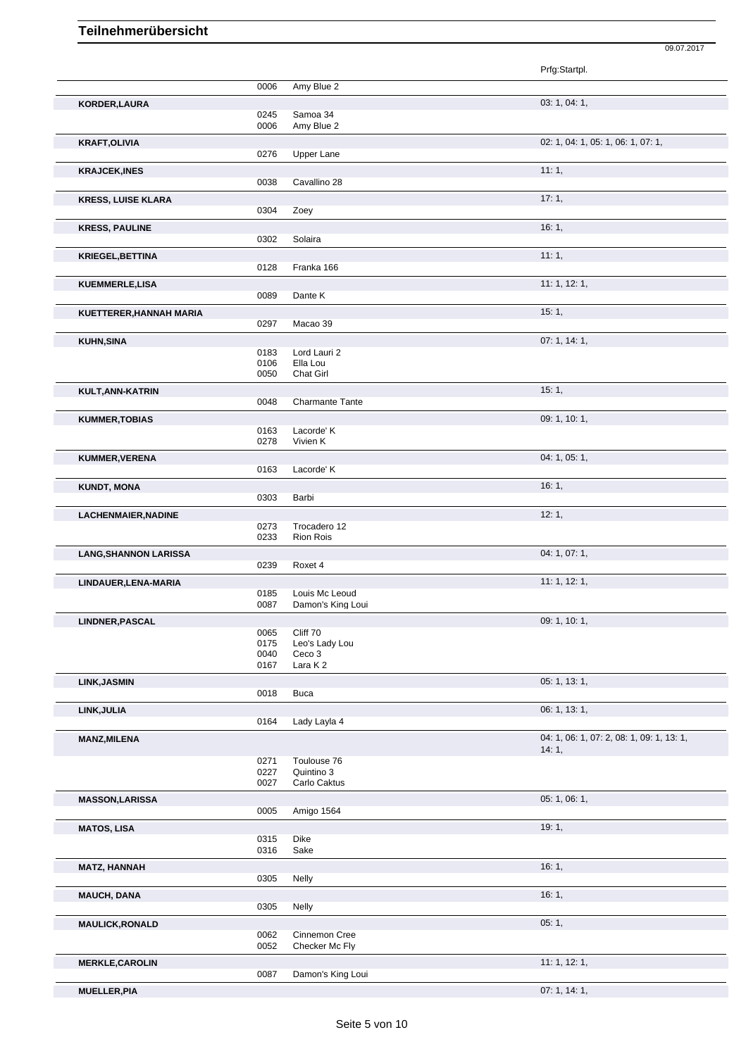| 0006<br>0245<br>0006<br>0276<br>0038 | Amy Blue 2<br>Samoa 34<br>Amy Blue 2<br><b>Upper Lane</b><br>Cavallino 28 | Prfg:Startpl.<br>03: 1, 04: 1,<br>02: 1, 04: 1, 05: 1, 06: 1, 07: 1,<br>11:1,                                                       |
|--------------------------------------|---------------------------------------------------------------------------|-------------------------------------------------------------------------------------------------------------------------------------|
|                                      |                                                                           |                                                                                                                                     |
|                                      |                                                                           |                                                                                                                                     |
|                                      |                                                                           |                                                                                                                                     |
|                                      |                                                                           |                                                                                                                                     |
|                                      |                                                                           |                                                                                                                                     |
|                                      |                                                                           |                                                                                                                                     |
|                                      |                                                                           |                                                                                                                                     |
|                                      |                                                                           |                                                                                                                                     |
|                                      |                                                                           | 17:1,                                                                                                                               |
| 0304                                 | Zoey                                                                      |                                                                                                                                     |
|                                      |                                                                           | 16:1,                                                                                                                               |
| 0302                                 | Solaira                                                                   |                                                                                                                                     |
|                                      |                                                                           | 11:1,                                                                                                                               |
| 0128                                 | Franka 166                                                                |                                                                                                                                     |
|                                      |                                                                           | 11:1, 12:1,                                                                                                                         |
| 0089                                 | Dante K                                                                   |                                                                                                                                     |
|                                      |                                                                           | 15:1,                                                                                                                               |
|                                      |                                                                           |                                                                                                                                     |
|                                      |                                                                           | 07:1, 14:1,                                                                                                                         |
|                                      |                                                                           |                                                                                                                                     |
| 0106                                 | Ella Lou                                                                  |                                                                                                                                     |
| 0050                                 | Chat Girl                                                                 |                                                                                                                                     |
|                                      |                                                                           | 15:1,                                                                                                                               |
| 0048                                 | <b>Charmante Tante</b>                                                    |                                                                                                                                     |
|                                      |                                                                           | 09: 1, 10: 1,                                                                                                                       |
| 0163                                 | Lacorde' K                                                                |                                                                                                                                     |
| 0278                                 | Vivien K                                                                  |                                                                                                                                     |
|                                      |                                                                           | 04: 1, 05: 1,                                                                                                                       |
| 0163                                 | Lacorde' K                                                                |                                                                                                                                     |
|                                      |                                                                           | 16:1,                                                                                                                               |
| 0303                                 | Barbi                                                                     |                                                                                                                                     |
|                                      |                                                                           | 12:1,                                                                                                                               |
| 0273                                 | Trocadero 12                                                              |                                                                                                                                     |
| 0233                                 | Rion Rois                                                                 |                                                                                                                                     |
|                                      |                                                                           | 04: 1, 07: 1,                                                                                                                       |
| 0239                                 | Roxet 4                                                                   |                                                                                                                                     |
|                                      |                                                                           | 11:1, 12:1,                                                                                                                         |
| 0185                                 | Louis Mc Leoud                                                            |                                                                                                                                     |
|                                      |                                                                           |                                                                                                                                     |
|                                      |                                                                           | 09: 1, 10: 1,                                                                                                                       |
|                                      |                                                                           |                                                                                                                                     |
|                                      |                                                                           |                                                                                                                                     |
| 0167                                 | Lara K2                                                                   |                                                                                                                                     |
|                                      |                                                                           | 05: 1, 13: 1,                                                                                                                       |
| 0018                                 | <b>Buca</b>                                                               |                                                                                                                                     |
|                                      |                                                                           | 06: 1, 13: 1,                                                                                                                       |
| 0164                                 |                                                                           |                                                                                                                                     |
|                                      |                                                                           | 04: 1, 06: 1, 07: 2, 08: 1, 09: 1, 13: 1,                                                                                           |
|                                      |                                                                           | 14:1,                                                                                                                               |
| 0271                                 | Toulouse 76                                                               |                                                                                                                                     |
| 0227                                 | Quintino 3                                                                |                                                                                                                                     |
|                                      |                                                                           |                                                                                                                                     |
|                                      |                                                                           | 05:1,06:1,                                                                                                                          |
| 0005                                 |                                                                           |                                                                                                                                     |
|                                      |                                                                           | 19:1,                                                                                                                               |
| 0315                                 | Dike                                                                      |                                                                                                                                     |
| 0316                                 | Sake                                                                      |                                                                                                                                     |
|                                      |                                                                           | 16:1,                                                                                                                               |
|                                      |                                                                           |                                                                                                                                     |
| 0305                                 | Nelly                                                                     |                                                                                                                                     |
|                                      |                                                                           | 16:1,                                                                                                                               |
| 0305                                 | Nelly                                                                     |                                                                                                                                     |
|                                      |                                                                           | 05:1,                                                                                                                               |
| 0062                                 | Cinnemon Cree                                                             |                                                                                                                                     |
| 0052                                 | Checker Mc Fly                                                            |                                                                                                                                     |
|                                      |                                                                           | 11:1, 12:1,                                                                                                                         |
| 0087                                 | Damon's King Loui                                                         |                                                                                                                                     |
|                                      | 0297<br>0183<br>0087<br>0065<br>0175<br>0040<br>0027                      | Macao 39<br>Lord Lauri 2<br>Damon's King Loui<br>Cliff 70<br>Leo's Lady Lou<br>Ceco 3<br>Lady Layla 4<br>Carlo Caktus<br>Amigo 1564 |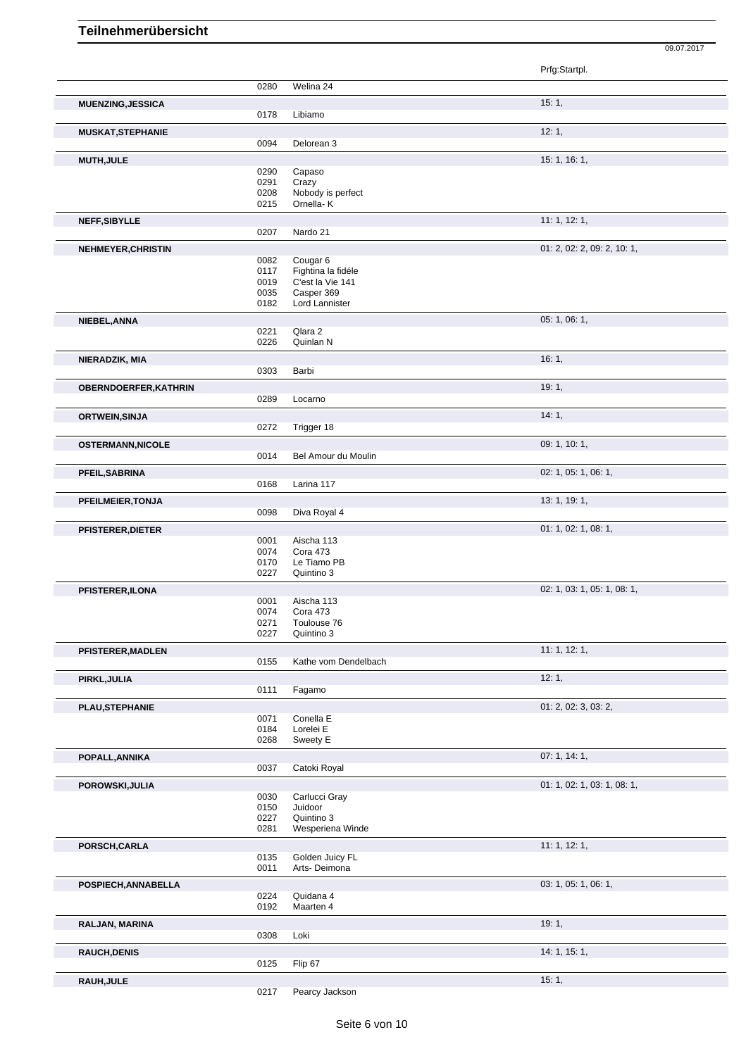|                              |              |                                           | Prfg:Startpl.               |
|------------------------------|--------------|-------------------------------------------|-----------------------------|
|                              | 0280         | Welina 24                                 |                             |
| <b>MUENZING, JESSICA</b>     |              |                                           | 15:1,                       |
|                              | 0178         | Libiamo                                   |                             |
| <b>MUSKAT, STEPHANIE</b>     |              |                                           | 12:1,                       |
|                              | 0094         | Delorean 3                                |                             |
| <b>MUTH, JULE</b>            |              |                                           | 15: 1, 16: 1,               |
|                              | 0290<br>0291 | Capaso<br>Crazy                           |                             |
|                              | 0208         | Nobody is perfect                         |                             |
|                              | 0215         | Ornella-K                                 |                             |
| NEFF, SIBYLLE                |              |                                           | 11: 1, 12: 1,               |
|                              | 0207         | Nardo 21                                  |                             |
| <b>NEHMEYER, CHRISTIN</b>    |              |                                           | 01: 2, 02: 2, 09: 2, 10: 1, |
|                              | 0082<br>0117 | Cougar <sub>6</sub><br>Fightina la fidéle |                             |
|                              | 0019         | C'est la Vie 141                          |                             |
|                              | 0035         | Casper 369                                |                             |
|                              | 0182         | Lord Lannister                            |                             |
| NIEBEL, ANNA                 | 0221         | Qlara 2                                   | 05: 1, 06: 1,               |
|                              | 0226         | Quinlan N                                 |                             |
| NIERADZIK, MIA               |              |                                           | 16:1,                       |
|                              | 0303         | Barbi                                     |                             |
| <b>OBERNDOERFER, KATHRIN</b> |              |                                           | 19:1,                       |
|                              | 0289         | Locarno                                   |                             |
| <b>ORTWEIN, SINJA</b>        |              |                                           | 14:1,                       |
|                              | 0272         | Trigger 18                                |                             |
| <b>OSTERMANN, NICOLE</b>     |              |                                           | 09: 1, 10: 1,               |
|                              | 0014         | Bel Amour du Moulin                       |                             |
| PFEIL, SABRINA               |              |                                           | 02: 1, 05: 1, 06: 1,        |
|                              | 0168         | Larina 117                                |                             |
| PFEILMEIER, TONJA            |              |                                           | 13: 1, 19: 1,               |
|                              | 0098         | Diva Royal 4                              |                             |
| <b>PFISTERER, DIETER</b>     |              |                                           | 01: 1, 02: 1, 08: 1,        |
|                              | 0001<br>0074 | Aischa 113<br>Cora 473                    |                             |
|                              | 0170         | Le Tiamo PB                               |                             |
|                              | 0227         | Quintino 3                                |                             |
| PFISTERER, ILONA             |              |                                           | 02: 1, 03: 1, 05: 1, 08: 1, |
|                              | 0001<br>0074 | Aischa 113<br>Cora 473                    |                             |
|                              | 0271         | Toulouse 76                               |                             |
|                              | 0227         | Quintino 3                                |                             |
| PFISTERER, MADLEN            |              |                                           | 11:1, 12:1,                 |
|                              | 0155         | Kathe vom Dendelbach                      |                             |
| PIRKL, JULIA                 |              |                                           | 12:1,                       |
|                              | 0111         | Fagamo                                    |                             |
| PLAU, STEPHANIE              |              |                                           | 01: 2, 02: 3, 03: 2,        |
|                              | 0071<br>0184 | Conella E<br>Lorelei E                    |                             |
|                              | 0268         | Sweety E                                  |                             |
| POPALL, ANNIKA               |              |                                           | 07: 1, 14: 1,               |
|                              | 0037         | Catoki Royal                              |                             |
| POROWSKI, JULIA              |              |                                           | 01: 1, 02: 1, 03: 1, 08: 1, |
|                              | 0030         | Carlucci Gray                             |                             |
|                              | 0150<br>0227 | Juidoor<br>Quintino 3                     |                             |
|                              | 0281         | Wesperiena Winde                          |                             |
| PORSCH, CARLA                |              |                                           | 11:1, 12:1,                 |
|                              | 0135         | Golden Juicy FL                           |                             |
|                              | 0011         | Arts-Deimona                              |                             |
| POSPIECH, ANNABELLA          |              |                                           | 03: 1, 05: 1, 06: 1,        |
|                              | 0224<br>0192 | Quidana 4<br>Maarten 4                    |                             |
|                              |              |                                           |                             |
| RALJAN, MARINA               | 0308         | Loki                                      | 19:1,                       |
|                              |              |                                           | 14: 1, 15: 1,               |
| <b>RAUCH, DENIS</b>          | 0125         | Flip 67                                   |                             |
| RAUH, JULE                   |              |                                           | 15:1,                       |
|                              | 0217         | Pearcy Jackson                            |                             |
|                              |              |                                           |                             |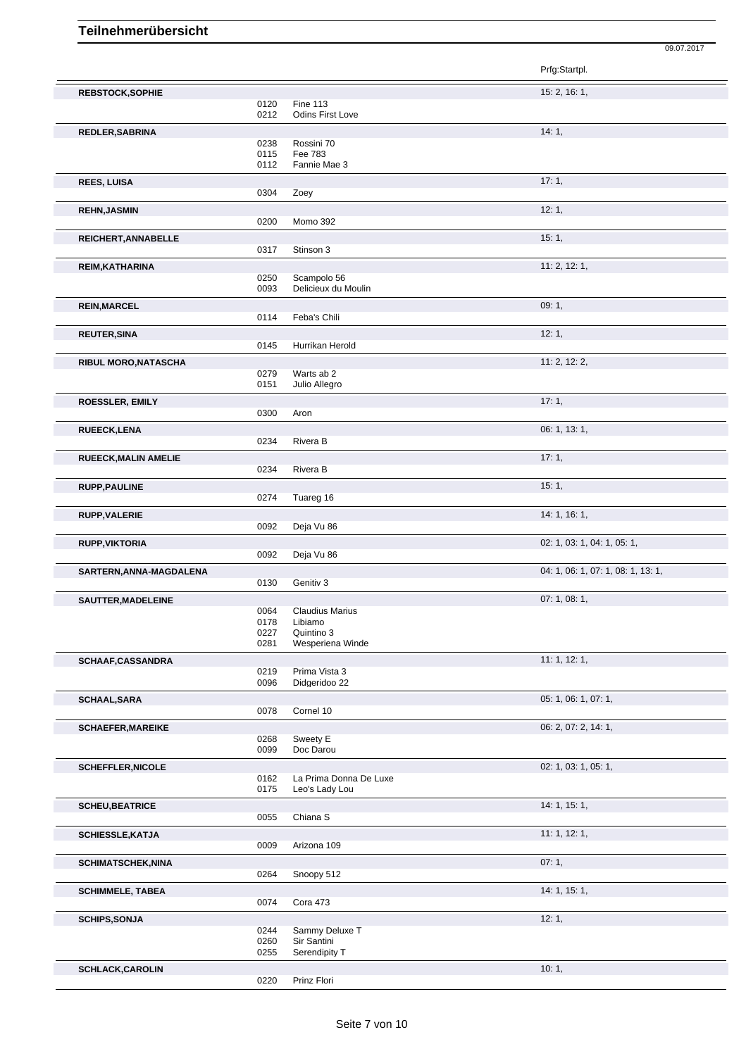|                             |              |                                          | Prfg:Startpl.                      |
|-----------------------------|--------------|------------------------------------------|------------------------------------|
| <b>REBSTOCK, SOPHIE</b>     |              |                                          | 15: 2, 16: 1,                      |
|                             | 0120         | <b>Fine 113</b>                          |                                    |
|                             | 0212         | <b>Odins First Love</b>                  |                                    |
| REDLER, SABRINA             | 0238         | Rossini 70                               | 14:1,                              |
|                             | 0115         | Fee 783                                  |                                    |
|                             | 0112         | Fannie Mae 3                             |                                    |
| <b>REES, LUISA</b>          |              |                                          | 17:1,                              |
|                             | 0304         | Zoey                                     |                                    |
| <b>REHN, JASMIN</b>         |              |                                          | 12:1,                              |
|                             | 0200         | Momo 392                                 |                                    |
| REICHERT, ANNABELLE         | 0317         | Stinson 3                                | 15:1,                              |
|                             |              |                                          | 11: 2, 12: 1,                      |
| REIM, KATHARINA             | 0250         | Scampolo 56                              |                                    |
|                             | 0093         | Delicieux du Moulin                      |                                    |
| <b>REIN, MARCEL</b>         |              |                                          | 09:1,                              |
|                             | 0114         | Feba's Chili                             |                                    |
| <b>REUTER, SINA</b>         |              |                                          | 12:1,                              |
|                             | 0145         | Hurrikan Herold                          |                                    |
| RIBUL MORO, NATASCHA        |              | Warts ab 2                               | 11: 2, 12: 2,                      |
|                             | 0279<br>0151 | Julio Allegro                            |                                    |
| ROESSLER, EMILY             |              |                                          | 17:1,                              |
|                             | 0300         | Aron                                     |                                    |
| RUEECK, LENA                |              |                                          | 06: 1, 13: 1,                      |
|                             | 0234         | Rivera B                                 |                                    |
| <b>RUEECK, MALIN AMELIE</b> |              |                                          | 17:1,                              |
|                             | 0234         | Rivera B                                 |                                    |
| <b>RUPP, PAULINE</b>        |              |                                          | 15:1,                              |
|                             | 0274         | Tuareg 16                                |                                    |
| RUPP, VALERIE               | 0092         | Deja Vu 86                               | 14: 1, 16: 1,                      |
|                             |              |                                          |                                    |
| <b>RUPP, VIKTORIA</b>       | 0092         | Deja Vu 86                               | 02: 1, 03: 1, 04: 1, 05: 1,        |
| SARTERN, ANNA-MAGDALENA     |              |                                          | 04: 1, 06: 1, 07: 1, 08: 1, 13: 1, |
|                             | 0130         | Genitiv 3                                |                                    |
| SAUTTER, MADELEINE          |              |                                          | 07: 1, 08: 1,                      |
|                             | 0064         | <b>Claudius Marius</b>                   |                                    |
|                             | 0178<br>0227 | Libiamo<br>Quintino 3                    |                                    |
|                             | 0281         | Wesperiena Winde                         |                                    |
| SCHAAF,CASSANDRA            |              |                                          | 11: 1, 12: 1,                      |
|                             | 0219         | Prima Vista 3                            |                                    |
|                             | 0096         | Didgeridoo 22                            |                                    |
| <b>SCHAAL, SARA</b>         | 0078         | Cornel 10                                | 05: 1, 06: 1, 07: 1,               |
|                             |              |                                          | 06: 2, 07: 2, 14: 1,               |
| <b>SCHAEFER, MAREIKE</b>    | 0268         | Sweety E                                 |                                    |
|                             | 0099         | Doc Darou                                |                                    |
| <b>SCHEFFLER, NICOLE</b>    |              |                                          | 02: 1, 03: 1, 05: 1,               |
|                             | 0162<br>0175 | La Prima Donna De Luxe<br>Leo's Lady Lou |                                    |
|                             |              |                                          |                                    |
| <b>SCHEU, BEATRICE</b>      | 0055         | Chiana S                                 | 14: 1, 15: 1,                      |
|                             |              |                                          | 11:1, 12:1,                        |
| <b>SCHIESSLE, KATJA</b>     | 0009         | Arizona 109                              |                                    |
| <b>SCHIMATSCHEK, NINA</b>   |              |                                          | 07:1,                              |
|                             | 0264         | Snoopy 512                               |                                    |
| <b>SCHIMMELE, TABEA</b>     |              |                                          | 14: 1, 15: 1,                      |
|                             | 0074         | Cora 473                                 |                                    |
| <b>SCHIPS, SONJA</b>        |              |                                          | 12:1,                              |
|                             | 0244<br>0260 | Sammy Deluxe T<br>Sir Santini            |                                    |
|                             | 0255         | Serendipity T                            |                                    |
| <b>SCHLACK, CAROLIN</b>     |              |                                          | 10:1,                              |
|                             | 0220         | Prinz Flori                              |                                    |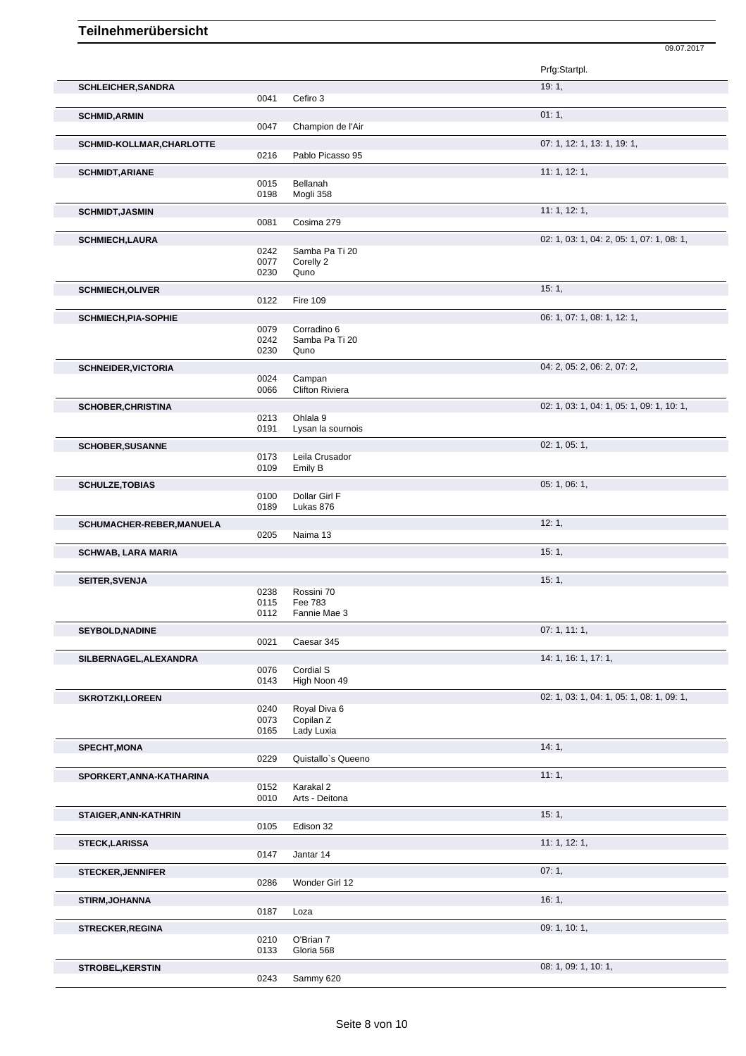Prfg:Startpl. **SCHLEICHER,SANDRA** 19: 1, Cefiro 3 **SCHMID,ARMIN** 01: 1, 0047 Champion de l'Air Champion de l'Air **SCHMID-KOLLMAR,CHARLOTTE** 07: 1, 12: 1, 13: 1, 19: 1, 0216 Pablo Picasso 95 **SCHMIDT,ARIANE** 11: 1, 12: 1, 12: 1, 12: 1, 12: 1, 12: 1, 12: 1, 12: 1, 12: 1, 12: 1, 12: 1, 12: 1, 12: 1, 12: 1, 0015 Bellanah<br>0198 Mogli 358 Mogli 358 **SCHMIDT,JASMIN** 11: 1, 12: 1, 0081 Cosima 279 Cosima 279 **SCHMIECH,LAURA** 02: 1, 03: 1, 04: 2, 05: 1, 07: 1, 08: 1, 05: 1, 05: 1, 05: 1, 05: 1, 05: 1, 05: 1, 05: 1, 05: 1, 05: 1, 05: 1, 05: 1, 05: 1, 05: 1, 07: 1, 08: 1, 07: 1, 08: 1, 07: 1, 08: 1, 07: 1, 08: 1, 07: 1, 08: 1, 07 Samba Pa Ti 20 0077 Corelly 2 0230 Quno **SCHMIECH, OLIVER** 15: 1, 15: 1, 199 **Fire 109 SCHMIECH, PIA-SOPHIE** 06: 0.079 Corrading 6<br>
06: 1, 07: 1, 08: 1, 12: 1, Corradino 6 0242 Samba Pa Ti 20<br>0230 Ouno **Quno SCHNEIDER, VICTORIA** 04: 2, 05: 2, 06: 2, 07: 2, 06: 2, 07: 2, 06: 2, 07: 2, 06: 2, 07: 2, 06: 2, 07: 2, 09: 2, 07: 2, 09: 2, 07: 2, 09: 2, 07: 2, 09: 2, 07: 2, 09: 2, 07: 2, 09: 2, 07: 2, 09: 2, 07: 2, 09: 2, 07: 2, 09: 0024 Campan<br>0066 Clifton Ri Clifton Riviera **SCHOBER, CHRISTINA** 02: 1, 03: 1, 04: 1, 05: 1, 09: 1, 10: 1, 0213 Ohlala 9 0191 Lysan la sournois **SCHOBER,SUSANNE** 02: 1, 05: 1, 0173 Leila Crusador<br>0109 Emily B Emily B **SCHULZE,TOBIAS** 05: 1, 06: 1, 06: 1, 06: 1, 06: 1, 06: 1, 06: 1, 06: 1, 06: 1, 06: 1, 06: 1, 06: 1, 06: 1, 06: 1, 06: 1, 06: 1, 06: 1, 06: 1, 06: 1, 06: 1, 06: 1, 06: 1, 06: 1, 06: 1, 06: 1, 06: 1, 06: 1, 06: 1, 06: 1, 06 0100 Dollar Girl F<br>0189 Lukas 876 Lukas 876 **SCHUMACHER-REBER,MANUELA** 12: 1, 0205 Naima 13 **SCHWAB, LARA MARIA** 15: 1, **SEITER,SVENJA** 15: 1, 0238 Rossini 70<br>0115 Fee 783 0115 Fee 783<br>0112 Fannie M Fannie Mae 3 **SEYBOLD,NADINE** 07: 1, 11: 1, 0021 Caesar 345 Caesar 345 **SILBERNAGEL,ALEXANDRA** 14: 1, 16: 1, 17: 1, 0076 Cordial S<br>0143 High Noo High Noon 49 **SKROTZKI,LOREEN** 02: 1, 05: 1, 05: 1, 05: 1, 05: 1, 05: 1, 05: 1, 05: 1, 05: 1, 05: 1, 05: 1, 05: 1, 05: 1, 05: 1, 05: 1, 05: 1, 05: 1, 05: 1, 05: 1, 05: 1, 05: 1, 05: 1, 05: 1, 05: 1, 05: 1, 05: 1, 05: 1, 05: 1, 05: 1, 0 0240 Royal Diva 6<br>0073 Copilan Z Copilan Z 0165 Lady Luxia **SPECHT, MONA** 14: 1, 0229 Quistallo`s Queeno **SPORKERT,ANNA-KATHARINA** 11: 1, 0152 Karakal 2 0010 Arts - Deitona **STAIGER,ANN-KATHRIN** 15: 1, 0105 Edison 32 **STECK,LARISSA** 11: 1, 12: 1, 0147 Jantar 14 **STECKER, JENNIFER** 07: 1, 07: 1, 07: 1, 07: 1, 07: 1, 07: 1, 07: 1, 07: 1, 07: 1, 07: 1, 07: 1, 07: 1, 07: 1, 0286 Wonder Girl 12 **STIRM,JOHANNA** 16: 1, Loza **STRECKER, REGINA** 0210 0'Brian 7 0210 0'Brian 7 0210 O'Brian 7 Gloria 568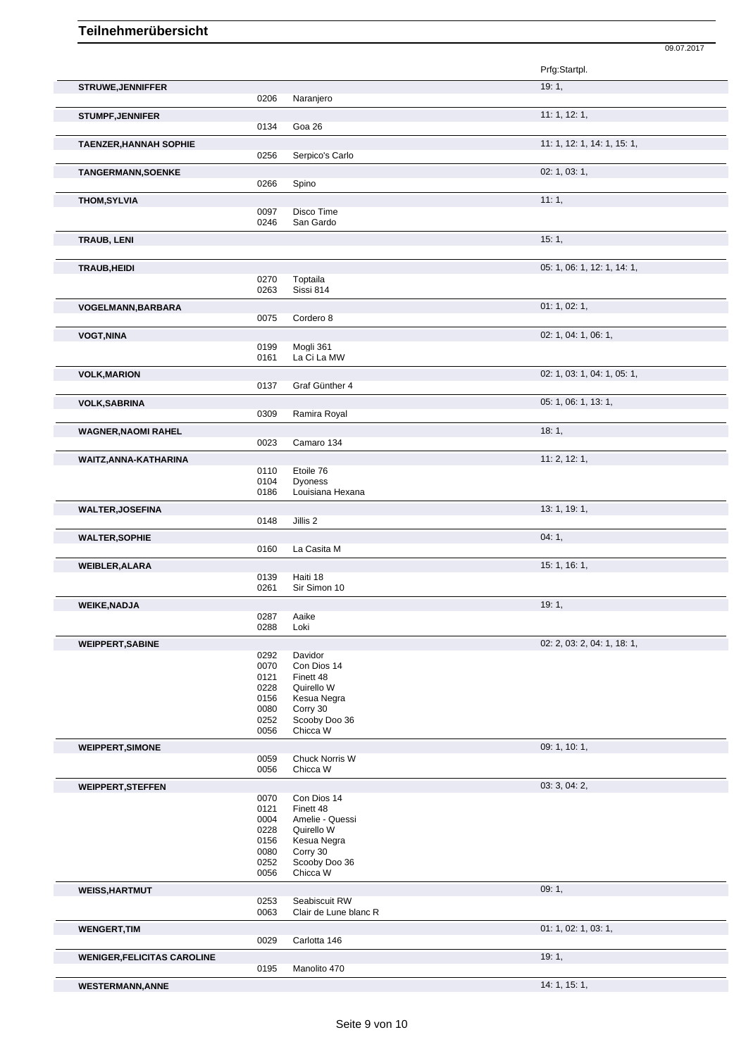|                                    |              |                                        | Prfg:Startpl.               |
|------------------------------------|--------------|----------------------------------------|-----------------------------|
| <b>STRUWE, JENNIFFER</b>           |              |                                        | 19:1,                       |
|                                    | 0206         | Naranjero                              |                             |
| <b>STUMPF, JENNIFER</b>            |              |                                        | 11: 1, 12: 1,               |
|                                    | 0134         | Goa 26                                 |                             |
| <b>TAENZER, HANNAH SOPHIE</b>      | 0256         | Serpico's Carlo                        | 11: 1, 12: 1, 14: 1, 15: 1, |
|                                    |              |                                        |                             |
| <b>TANGERMANN, SOENKE</b>          | 0266         | Spino                                  | 02: 1, 03: 1,               |
|                                    |              |                                        | 11:1,                       |
| <b>THOM, SYLVIA</b>                | 0097         | Disco Time                             |                             |
|                                    | 0246         | San Gardo                              |                             |
| TRAUB, LENI                        |              |                                        | 15:1,                       |
|                                    |              |                                        |                             |
| TRAUB, HEIDI                       |              |                                        | 05: 1, 06: 1, 12: 1, 14: 1, |
|                                    | 0270         | Toptaila                               |                             |
|                                    | 0263         | Sissi 814                              |                             |
| <b>VOGELMANN, BARBARA</b>          | 0075         | Cordero 8                              | 01: 1, 02: 1,               |
|                                    |              |                                        |                             |
| <b>VOGT, NINA</b>                  | 0199         | Mogli 361                              | 02: 1, 04: 1, 06: 1,        |
|                                    | 0161         | La Ci La MW                            |                             |
| <b>VOLK, MARION</b>                |              |                                        | 02: 1, 03: 1, 04: 1, 05: 1, |
|                                    | 0137         | Graf Günther 4                         |                             |
| <b>VOLK, SABRINA</b>               |              |                                        | 05: 1, 06: 1, 13: 1,        |
|                                    | 0309         | Ramira Royal                           |                             |
| <b>WAGNER, NAOMI RAHEL</b>         |              |                                        | 18:1,                       |
|                                    | 0023         | Camaro 134                             |                             |
| WAITZ, ANNA-KATHARINA              |              |                                        | 11: 2, 12: 1,               |
|                                    | 0110<br>0104 | Etoile 76<br><b>Dyoness</b>            |                             |
|                                    | 0186         | Louisiana Hexana                       |                             |
| <b>WALTER, JOSEFINA</b>            |              |                                        | 13: 1, 19: 1,               |
|                                    | 0148         | Jillis 2                               |                             |
| <b>WALTER, SOPHIE</b>              |              |                                        | 04:1,                       |
|                                    | 0160         | La Casita M                            |                             |
| <b>WEIBLER, ALARA</b>              |              |                                        | 15: 1, 16: 1,               |
|                                    | 0139<br>0261 | Haiti 18<br>Sir Simon 10               |                             |
|                                    |              |                                        | 19:1,                       |
| <b>WEIKE, NADJA</b>                | 0287         | Aaike                                  |                             |
|                                    |              |                                        |                             |
|                                    | 0288         | Loki                                   |                             |
| <b>WEIPPERT, SABINE</b>            |              |                                        | 02: 2, 03: 2, 04: 1, 18: 1, |
|                                    | 0292         | Davidor                                |                             |
|                                    | 0070         | Con Dios 14                            |                             |
|                                    | 0121<br>0228 | Finett 48<br>Quirello W                |                             |
|                                    | 0156         | Kesua Negra                            |                             |
|                                    | 0080<br>0252 | Corry 30<br>Scooby Doo 36              |                             |
|                                    | 0056         | Chicca W                               |                             |
| <b>WEIPPERT, SIMONE</b>            |              |                                        | 09: 1, 10: 1,               |
|                                    | 0059         | Chuck Norris W                         |                             |
|                                    | 0056         | Chicca W                               |                             |
| <b>WEIPPERT, STEFFEN</b>           |              |                                        | 03: 3, 04: 2,               |
|                                    | 0070<br>0121 | Con Dios 14<br>Finett 48               |                             |
|                                    | 0004         | Amelie - Quessi                        |                             |
|                                    | 0228         | Quirello W                             |                             |
|                                    | 0156<br>0080 | Kesua Negra<br>Corry 30                |                             |
|                                    | 0252         | Scooby Doo 36                          |                             |
|                                    | 0056         | Chicca W                               |                             |
| <b>WEISS, HARTMUT</b>              |              |                                        | 09:1,                       |
|                                    | 0253<br>0063 | Seabiscuit RW<br>Clair de Lune blanc R |                             |
|                                    |              |                                        |                             |
| <b>WENGERT, TIM</b>                | 0029         | Carlotta 146                           | 01: 1, 02: 1, 03: 1,        |
| <b>WENIGER, FELICITAS CAROLINE</b> |              |                                        | 19:1,                       |

09.07.2017

**WESTERMANN,ANNE** 14: 1, 15: 1,